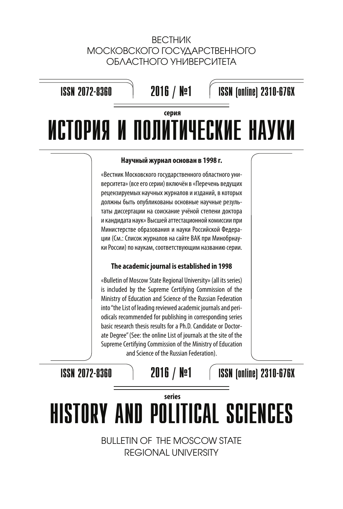# ВЕСТНИК МОСКОВСКОГО ГОСУДАРСТВЕННОГО ОБЛАСТНОГО УНИВЕРСИТЕТА

# 2016 / №1 ИСТОРИЯ И ПОЛИТИЧЕСКИЕ НАУКИ ISSN 2072-8360 ISSN (online) 2310-676X **серия**

### **Научный журнал основан в 1998 г.**

«Вестник Московского государственного областного университета» (все его серии) включён в «Перечень ведущих рецензируемых научных журналов и изданий, в которых должны быть опубликованы основные научные результаты диссертации на соискание учёной степени доктора и кандидата наук» Высшей аттестационной комиссии при Министерстве образования и науки Российской Федерации (См.: Список журналов на сайте ВАК при Минобрнауки России) по наукам, соответствующим названию серии.

## **The academic journal is established in 1998**

«Bulletin of Moscow State Regional University» (all its series) is included by the Supreme Certifying Commission of the Ministry of Education and Science of the Russian Federation into "the List of leading reviewed academic journals and periodicals recommended for publishing in corresponding series basic research thesis results for a Ph.D. Candidate or Doctorate Degree" (See: the online List of journals at the site of the Supreme Certifying Commission of the Ministry of Education and Science of the Russian Federation).

ISSN 2072-8360

2016 / №1

ISSN (online) 2310-676X

# HISTORY AND POLITICAL SCIENCES **series**

BULLETIN OF THE MOSCOW STATE REGIONAL UNIVERSITY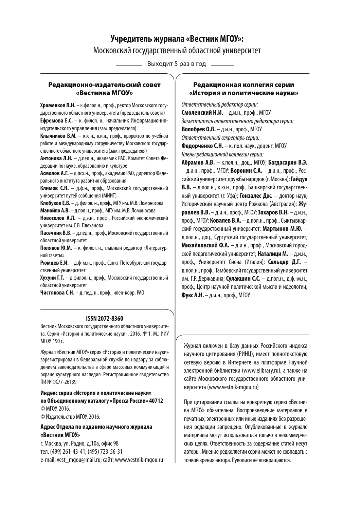# **Учредитель журнала «Вестник МГОУ»:**  Московский государственный областной университет

Выходит 5 раз в год

#### **Редакционно-издательский совет «Вестника МГОУ»**

**Хроменков П.Н.** – к.филол.н., проф., ректор Московского государственного областного университета (председатель совета) **Ефремова Е.С.** – к. филол. н., начальник Информационноиздательского управления (зам. председателя)

**Клычников В.М.** – к.ю.н., к.и.н., проф., проректор по учебной работе и международному сотрудничеству Московского государственного областного университета (зам. председателя)

**Антонова Л.Н.** – д.пед.н., академик РАО, Комитет Совета Федерации по науке, образованию и культуре

**Асмолов А.Г.** – д.псх.н., проф., академик РАО, директор Федерального института развития образования

**Климов С.Н.** – д.ф.н., проф., Московский государственный университет путей сообщения (МИИТ)

**Клобуков Е.В.** – д. филол. н., проф., МГУ им. М.В. Ломоносова **Манойло А.В.** – д.пол.н., проф., МГУ им. М.В. Ломоносова

**Новоселов А.Л.** – д.э.н., проф., Российский экономический университет им. Г.В. Плеханова

**Пасечник В.В.** – д.пед.н., проф., Московский государственный областной университет

**Поляков Ю.М. –** к. филол. н., главный редактор «Литературной газеты»

**Рюмцев Е.И.** – д.ф-м.н., проф., Санкт-Петербургский государственный университет

**Хухуни Г.Т.** – д.филол.н., проф., Московский государственный областной университет

**Чистякова С.Н.** – д. пед. н., проф., член-корр. РАО

#### **ISSN 2072-8360**

Вестник Московского государственного областного университета. Серия «История и политические науки». 2016. № 1. М.: ИИУ МГОУ. 190с.

Журнал «Вестник МГОУ» серия «История и политические науки» зарегистрирован в Федеральной службе по надзору за соблюдением законодательства в сфере массовых коммуникаций и охране культурного наследия. Регистрационное свидетельство ПИ № ФС77-26139

#### **Индекс серии «История и политические науки» по Объединенному каталогу «Пресса России» 40712**

© МГОУ, 2016. © Издательство МГОУ, 2016.

#### **Адрес Отдела по изданию научного журнала «Вестник МГОУ»**

г. Москва, ул. Радио, д.10а, офис 98 тел. (499) 261-43-41; (495) 723-56-31 e-mail: vest\_mgou@mail.ru; сайт: www.vestnik-mgou.ru

#### **Редакционная коллегия серии «История и политические науки»**

Ответственный редактор серии: **Смоленский Н.И.** – д.и.н., проф., МГОУ Заместитель ответственного редактора серии: **Волобуев О.В.** – д.и.н., проф., МГОУ Ответственный секретарь серии: **Федорченко С.Н.** – к. пол. наук, доцент, МГОУ Члены редакционной коллегии серии:

**Абрамов А.В.** – к.пол.н., доц., МГОУ; **Багдасарян В.Э.** – д.и.н., проф., МГОУ; **Воронин С.А.** – д.и.н., проф., Российский университет дружбы народов (г. Москва); **Гайдук В.В.** – д.пол.н., к.ю.н., проф., Башкирский государственный университет (г. Уфа); **Гонзалес Дж.** – доктор наук, Исторический научный центр Рожкова (Австралия); **Журавлев В.В.** – д.и.н., проф., МГОУ; **Захаров В.Н.** – д.и.н., проф., МГОУ; **Ковалев В.А.** – д.пол.н., проф., Сыктывкарский государственный университет; **Мартынов М.Ю.** – д.пол.н., доц., Сургутский государственный университет; **Михайловский Ф.А.** – д.и.н., проф., Московский городской педагогический университет; **Наталици М.** – д.и.н., проф., Университет Сиена (Италия); **Сельцер Д.Г.** – д.пол.н., проф., Тамбовский государственный университет им. Г.Р. Державина; **Сулакшин С.С.** – д.пол.н., д.ф.-м.н., проф., Центр научной политической мысли и идеологии; **Фукс А.Н.** – д.и.н., проф., МГОУ

Журнал включен в базу данных Российского индекса научного цитирования (РИНЦ), имеет полнотекстовую сетевую версию в Интернете на платформе Научной электронной библиотеки (www.elibrary.ru), а также на сайте Московского государственного областного университета (www.vestnik-mgou.ru)

При цитировании ссылка на конкретную серию «Вестника МГОУ» обязательна. Воспроизведение материалов в печатных, электронных или иных изданиях без разрешения редакции запрещено. Опубликованные в журнале материалы могут использоваться только в некоммерческих целях. Ответственность за содержание статей несут авторы. Мнение редколлегии серии может не совпадать с точкой зрения автора. Рукописи не возвращаются.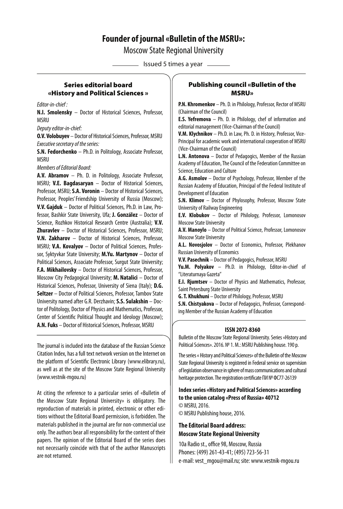## **Founder of journal «Bulletin of the MSRU»:**

Moscow State Regional University

- Issued 5 times a year -

#### **Series editorial board «History and Political Sciences »**

Editor-in-chief :

**N.I. Smolensky** – Doctor of Historical Sciences, Professor, MSRU

Deputy editor-in-chief:

**O.V. Volobuyev** – Doctor of Historical Sciences, Professor, MSRU Executive secretary of the series:

**S.N. Fedorchenko** – Ph.D. in Politology, Associate Professor, **MSRU** 

Members of Editorial Board:

**A.V. Abramov** – Ph. D. in Politology, Associate Professor, MSRU; **V.E. Bagdasaryan** – Doctor of Historical Sciences, Professor, MSRU; **S.А. Voronin** – Doctor of Historical Sciences, Professor, Peoples' Friendship University of Russia (Moscow); **V.V. Gajduk** – Doctor of Political Sciences, Ph.D. in Law, Professor, Bashkir State University, Ufa; **J. González** – Doctor of Science, Rozhkov Historical Research Centre (Australia); **V.V. Zhuravlev** – Doctor of Historical Sciences, Professor, MSRU; **V.N. Zakharov** – Doctor of Historical Sciences, Professor, MSRU; **V.A. Kovalyov** – Doctor of Political Sciences, Professor, Syktyvkar State University; **M.Yu. Martynov** – Doctor of Political Sciences, Associate Professor, Surgut State University; **F.A. Mikhailovsky** – Doctor of Historical Sciences, Professor, Moscow City Pedagogical University; **M. Natalici** – Doctor of Historical Sciences, Professor, University of Siena (Italy); **D.G. Seltzer** – Doctor of Political Sciences, Professor, Tambov State University named after G.R. Derzhavin; **S.S. Sulakshin** – Doctor of Politology, Doctor of Physics and Mathematics, Professor, Center of Scientific Political Thought and Ideology (Moscow); **A.N. Fuks** – Doctor of Historical Sciences, Professor, MSRU

The journal is included into the database of the Russian Science Citation Index, has a full text network version on the Internet on the platform of Scientific Electronic Library (www.elibrary.ru), as well as at the site of the Moscow State Regional University (www.vestnik-mgou.ru)

At citing the reference to a particular series of «Bulletin of the Moscow State Regional University» is obligatory. The reproduction of materials in printed, electronic or other editions without the Editorial Board permission, is forbidden. The materials published in the journal are for non-commercial use only. The authors bear all responsibility for the content of their papers. The opinion of the Editorial Board of the series does not necessarily coincide with that of the author Manuscripts are not returned.

#### **Publishing council «Bulletin of the MSRU»**

**P.N. Khromenkov** – Ph. D. in Philology, Professor, Rector of MSRU (Chairman of the Council)

**E.S. Yefremova** – Ph. D. in Philology, chef of information and editorial management (Vice-Chairman of the Council)

**V.M. Klychnikov** – Ph.D. in Law, Ph. D. in History, Professor, Vice-Principal for academic work and international cooperation of МSRU (Vice-Chairman of the Council)

**L.N. Antonova** – Doctor of Pedagogics, Member of the Russian Academy of Education, The Council of the Federation Committee on Science, Education and Culture

**A.G. Asmolov** – Doctor of Psychology, Professor, Member of the Russian Academy of Education, Principal of the Federal Institute of Development of Education

**S.N. Klimov** – Doctor of Phylosophy, Professor, Moscow State University of Railway Engineering

**E.V. Klobukov** – Doctor of Philology, Professor, Lomonosov Moscow State University

**A.V. Manoylo** – Doctor of Political Science, Professor, Lomonosov Moscow State University

**A.L. Novosjolov** – Doctor of Economics, Professor, Plekhanov Russian University of Economics

**V.V. Pasechnik** – Doctor of Pedagogics, Professor, MSRU

**Yu.M. Polyakov** – Ph.D. in Philology, Editor-in-chief of "Literaturnaya Gazeta"

**E.I. Rjumtsev** – Doctor of Physics and Mathematics, Professor, Saint Petersburg State University

**G. T. Khukhuni** – Doctor of Philology, Professor, MSRU

**S.N. Chistyakova** – Doctor of Pedagogics, Professor, Corresponding Member of the Russian Academy of Education

#### **ISSN 2072-8360**

Bulletin of the Moscow State Regional University. Series «History and Political Sciences». 2016. № 1. M.: MSRU Publishing house. 190 p.

The series « History and Political Sciences» of the Bulletin of the Moscow State Regional University is registered in Federal service on supervision of legislation observance in sphere of mass communications and cultural heritage protection. The registration certificate ПИ № ФС77-26139

#### **Index series «History and Political Sciences» according to the union catalog «Press of Russia» 40712**

© MSRU, 2016. © MSRU Publishing house, 2016.

#### **The Editorial Board address: Moscow State Regional University**

10а Radio st., office 98, Moscow, Russia Phones: (499) 261-43-41; (495) 723-56-31 e-mail: vest\_mgou@mail.ru; site: www.vestnik-mgou.ru